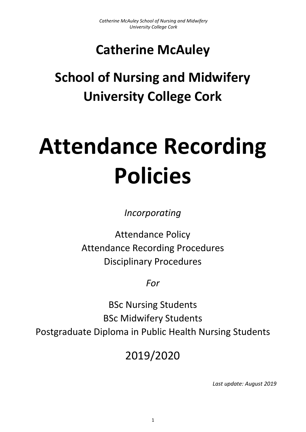# **Catherine McAuley**

# **School of Nursing and Midwifery University College Cork**

# **Attendance Recording Policies**

*Incorporating* 

<span id="page-0-0"></span>Attendance Policy Attendance Recording Procedures Disciplinary Procedures

*For*

BSc Nursing Students BSc Midwifery Students Postgraduate Diploma in Public Health Nursing Students

2019/2020

*Last update: August 2019*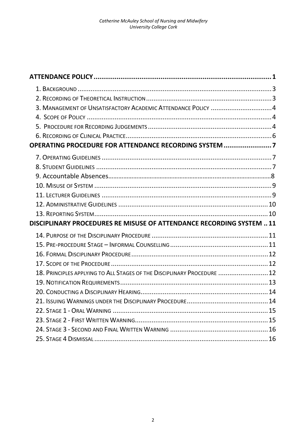| 3. MANAGEMENT OF UNSATISFACTORY ACADEMIC ATTENDANCE POLICY 4            |  |
|-------------------------------------------------------------------------|--|
|                                                                         |  |
|                                                                         |  |
|                                                                         |  |
| OPERATING PROCEDURE FOR ATTENDANCE RECORDING SYSTEM 7                   |  |
|                                                                         |  |
|                                                                         |  |
|                                                                         |  |
|                                                                         |  |
|                                                                         |  |
|                                                                         |  |
|                                                                         |  |
|                                                                         |  |
| DISCIPLINARY PROCEDURES RE MISUSE OF ATTENDANCE RECORDING SYSTEM  11    |  |
|                                                                         |  |
|                                                                         |  |
|                                                                         |  |
|                                                                         |  |
| 18. PRINCIPLES APPLYING TO ALL STAGES OF THE DISCIPLINARY PROCEDURE  12 |  |
|                                                                         |  |
|                                                                         |  |
|                                                                         |  |
|                                                                         |  |
|                                                                         |  |
|                                                                         |  |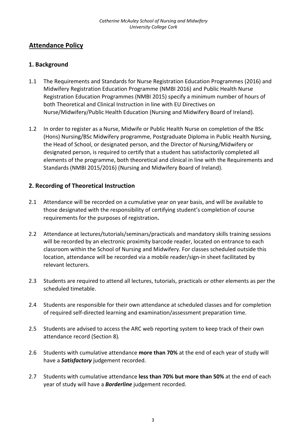# **Attendance Policy**

# <span id="page-2-0"></span>**1. Background**

- 1.1 The Requirements and Standards for Nurse Registration Education Programmes (2016) and Midwifery Registration Education Programme (NMBI 2016) and Public Health Nurse Registration Education Programmes (NMBI 2015) specify a minimum number of hours of both Theoretical and Clinical Instruction in line with EU Directives on Nurse/Midwifery/Public Health Education (Nursing and Midwifery Board of Ireland).
- 1.2 In order to register as a Nurse, Midwife or Public Health Nurse on completion of the BSc (Hons) Nursing/BSc Midwifery programme, Postgraduate Diploma in Public Health Nursing, the Head of School, or designated person, and the Director of Nursing/Midwifery or designated person, is required to certify that a student has satisfactorily completed all elements of the programme, both theoretical and clinical in line with the Requirements and Standards (NMBI 2015/2016) (Nursing and Midwifery Board of Ireland).

# <span id="page-2-1"></span>**2. Recording of Theoretical Instruction**

- 2.1 Attendance will be recorded on a cumulative year on year basis, and will be available to those designated with the responsibility of certifying student's completion of course requirements for the purposes of registration**.**
- 2.2 Attendance at lectures/tutorials/seminars/practicals and mandatory skills training sessions will be recorded by an electronic proximity barcode reader, located on entrance to each classroom within the School of Nursing and Midwifery. For classes scheduled outside this location, attendance will be recorded via a mobile reader/sign-in sheet facilitated by relevant lecturers.
- 2.3 Students are required to attend all lectures, tutorials, practicals or other elements as per the scheduled timetable.
- 2.4 Students are responsible for their own attendance at scheduled classes and for completion of required self-directed learning and examination/assessment preparation time.
- 2.5 Students are advised to access the ARC web reporting system to keep track of their own attendance record (Section 8)*.*
- 2.6 Students with cumulative attendance **more than 70%** at the end of each year of study will have a *Satisfactory* judgement recorded.
- 2.7 Students with cumulative attendance **less than 70% but more than 50%** at the end of each year of study will have a *Borderline* judgement recorded.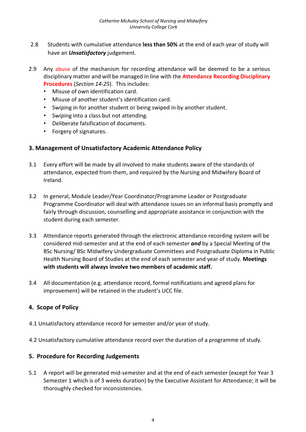- 2.8 Students with cumulative attendance **less than 50%** at the end of each year of study will have an *Unsatisfactory* judgement.
- 2.9 Any abuse of the mechanism for recording attendance will be deemed to be a serious disciplinary matter and will be managed in line with the **Attendance Recording Disciplinary Procedures** (*Section 14-25*). This includes:
	- Misuse of own identification card.
	- Misuse of another student's identification card.
	- Swiping in for another student or being swiped in by another student.
	- Swiping into a class but not attending.
	- Deliberate falsification of documents.
	- Forgery of signatures.

#### <span id="page-3-0"></span>**3. Management of Unsatisfactory Academic Attendance Policy**

- 3.1 Every effort will be made by all involved to make students aware of the standards of attendance, expected from them, and required by the Nursing and Midwifery Board of Ireland.
- 3.2 In general, Module Leader/Year Coordinator/Programme Leader or Postgraduate Programme Coordinator will deal with attendance issues on an informal basis promptly and fairly through discussion, counselling and appropriate assistance in conjunction with the student during each semester.
- 3.3 Attendance reports generated through the electronic attendance recording system will be considered mid-semester and at the end of each semester *and* by a Special Meeting of the BSc Nursing/ BSc Midwifery Undergraduate Committees and Postgraduate Diploma in Public Health Nursing Board of Studies at the end of each semester and year of study. **Meetings with students will always involve two members of academic staff.**
- 3.4 All documentation (e.g. attendance record, formal notifications and agreed plans for improvement) will be retained in the student's UCC file.

# <span id="page-3-1"></span>**4. Scope of Policy**

- 4.1 Unsatisfactory attendance record for semester and/or year of study.
- 4.2 Unsatisfactory cumulative attendance record over the duration of a programme of study.

#### <span id="page-3-2"></span>**5. Procedure for Recording Judgements**

5.1 A report will be generated mid-semester and at the end of each semester (except for Year 3 Semester 1 which is of 3 weeks duration) by the Executive Assistant for Attendance; it will be thoroughly checked for inconsistencies.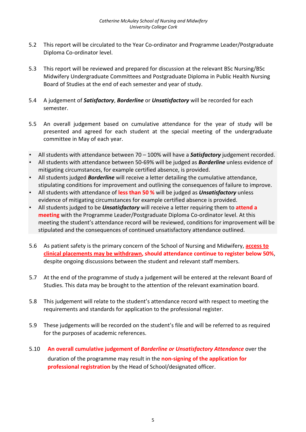- 5.2 This report will be circulated to the Year Co-ordinator and Programme Leader/Postgraduate Diploma Co-ordinator level.
- 5.3 This report will be reviewed and prepared for discussion at the relevant BSc Nursing/BSc Midwifery Undergraduate Committees and Postgraduate Diploma in Public Health Nursing Board of Studies at the end of each semester and year of study.
- 5.4 A judgement of *Satisfactory*, *Borderline* or *Unsatisfactory* will be recorded for each semester.
- 5.5 An overall judgement based on cumulative attendance for the year of study will be presented and agreed for each student at the special meeting of the undergraduate committee in May of each year.
- All students with attendance between 70 100% will have a *Satisfactory* judgement recorded.
- All students with attendance between 50-69% will be judged as *Borderline* unless evidence of mitigating circumstances, for example certified absence, is provided.
- All students judged *Borderline* will receive a letter detailing the cumulative attendance, stipulating conditions for improvement and outlining the consequences of failure to improve.
- All students with attendance of **less than 50 %** will be judged as *Unsatisfactory* unless evidence of mitigating circumstances for example certified absence is provided.
- All students judged to be *Unsatisfactory* will receive a letter requiring them to **attend a meeting** with the Programme Leader/Postgraduate Diploma Co-ordinator level. At this meeting the student's attendance record will be reviewed, conditions for improvement will be stipulated and the consequences of continued unsatisfactory attendance outlined.
- 5.6 As patient safety is the primary concern of the School of Nursing and Midwifery, **access to clinical placements may be withdrawn, should attendance continue to register below 50%**, despite ongoing discussions between the student and relevant staff members.
- 5.7 At the end of the programme of study a judgement will be entered at the relevant Board of Studies. This data may be brought to the attention of the relevant examination board.
- 5.8 This judgement will relate to the student's attendance record with respect to meeting the requirements and standards for application to the professional register.
- 5.9 These judgements will be recorded on the student's file and will be referred to as required for the purposes of academic references.
- 5.10 **An overall cumulative judgement of** *Borderline or Unsatisfactory Attendance* over the duration of the programme may result in the **non-signing of the application for professional registration** by the Head of School/designated officer.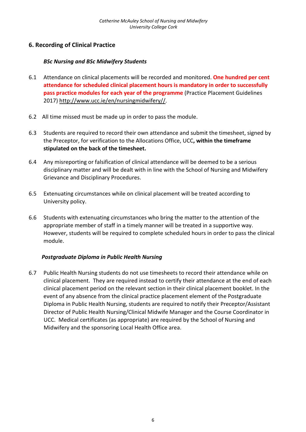# <span id="page-5-0"></span>**6. Recording of Clinical Practice**

#### *BSc Nursing and BSc Midwifery Students*

- 6.1 Attendance on clinical placements will be recorded and monitored. **One hundred per cent attendance for scheduled clinical placement hours is mandatory in order to successfully pass practice modules for each year of the programme** (Practice Placement Guidelines 2017[\)](http://www.ucc.ie/en/nursingmidwifery/) [http://www.ucc.ie/en/nursingmidwifery//.](http://www.ucc.ie/en/nursingmidwifery/)
- 6.2 All time missed must be made up in order to pass the module.
- 6.3 Students are required to record their own attendance and submit the timesheet, signed by the Preceptor, for verification to the Allocations Office, UCC**, within the timeframe stipulated on the back of the timesheet.**
- 6.4 Any misreporting or falsification of clinical attendance will be deemed to be a serious disciplinary matter and will be dealt with in line with the School of Nursing and Midwifery Grievance and Disciplinary Procedures.
- 6.5 Extenuating circumstances while on clinical placement will be treated according to University policy.
- 6.6 Students with extenuating circumstances who bring the matter to the attention of the appropriate member of staff in a timely manner will be treated in a supportive way. However, students will be required to complete scheduled hours in order to pass the clinical module.

# *Postgraduate Diploma in Public Health Nursing*

6.7 Public Health Nursing students do not use timesheets to record their attendance while on clinical placement. They are required instead to certify their attendance at the end of each clinical placement period on the relevant section in their clinical placement booklet. In the event of any absence from the clinical practice placement element of the Postgraduate Diploma in Public Health Nursing, students are required to notify their Preceptor/Assistant Director of Public Health Nursing/Clinical Midwife Manager and the Course Coordinator in UCC. Medical certificates (as appropriate) are required by the School of Nursing and Midwifery and the sponsoring Local Health Office area.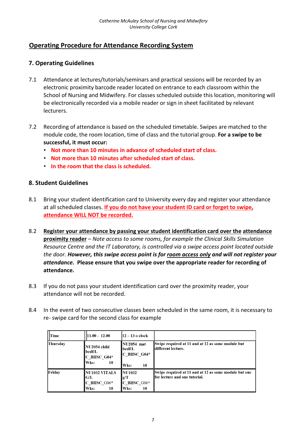# <span id="page-6-0"></span>**Operating Procedure for Attendance Recording System**

# <span id="page-6-1"></span>**7. Operating Guidelines**

- 7.1 Attendance at lectures/tutorials/seminars and practical sessions will be recorded by an electronic proximity barcode reader located on entrance to each classroom within the School of Nursing and Midwifery. For classes scheduled outside this location, monitoring will be electronically recorded via a mobile reader or sign in sheet facilitated by relevant lecturers.
- 7.2 Recording of attendance is based on the scheduled timetable. Swipes are matched to the module code, the room location, time of class and the tutorial group. **For a swipe to be successful, it must occur:** 
	- **Not more than 10 minutes in advance of scheduled start of class.**
	- **Not more than 10 minutes after scheduled start of class.**
	- **In the room that the class is scheduled.**

#### <span id="page-6-2"></span>**8. Student Guidelines**

- 8.1 Bring your student identification card to University every day and register your attendance at all scheduled classes. **If you do not have your student ID card or forget to swipe, attendance WILL NOT be recorded.**
- 8.2 **Register your attendance by passing your student identification card over the attendance proximity reader** – *Note access to some rooms, for example the Clinical Skills Simulation Resource Centre and the IT Laboratory, is controlled via a swipe access point located outside the door. However, this swipe access point is for room access only and will not register your attendance.* **Please ensure that you swipe over the appropriate reader for recording of attendance.**
- 8.3 If you do not pass your student identification card over the proximity reader, your attendance will not be recorded.
- 8.4 In the event of two consecutive classes been scheduled in the same room, it is necessary to re- swipe card for the second class for example

| l lTime         | $11.00 - 12.00$                                             | $12 - 13$ o clock                                         |                                                                                         |
|-----------------|-------------------------------------------------------------|-----------------------------------------------------------|-----------------------------------------------------------------------------------------|
| <b>Thursday</b> | NU2054 child<br>lbcdf/L<br>$C$ BHSC G04*<br>Wks:<br>10      | NU2054 mat<br> bcdf/L<br>C BHSC G04*<br>Wks:<br>10        | Swipe required at 11 and at 12 as same module but<br>ldifferent lecture.                |
| Friday          | <b>NU1032 VITALS</b><br>IG/L<br>$C$ BHSC_G06*<br>Wks:<br>10 | <b>INU1032</b><br> g/T<br>$\rm C$ BHSC G06*<br>Wks:<br>10 | Swipe required at 11 and at 12 as same module but one<br>lfor lecture and one tutorial. |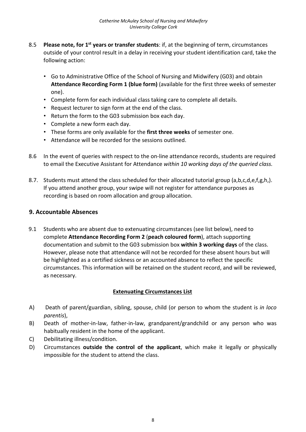- 8.5 **Please note, for 1st years or transfer students**: if, at the beginning of term, circumstances outside of your control result in a delay in receiving your student identification card, take the following action:
	- Go to Administrative Office of the School of Nursing and Midwifery (G03) and obtain **Attendance Recording Form 1 (blue form)** (available for the first three weeks of semester one).
	- Complete form for each individual class taking care to complete all details.
	- Request lecturer to sign form at the end of the class.
	- Return the form to the G03 submission box each day.
	- Complete a new form each day.
	- These forms are only available for the **first three weeks** of semester one.
	- Attendance will be recorded for the sessions outlined.
- 8.6 In the event of queries with respect to the on-line attendance records, students are required to email the Executive Assistant for Attendance *within 10 working days of the queried class.*
- 8.7. Students must attend the class scheduled for their allocated tutorial group (a,b,c,d,e,f,g,h,). If you attend another group, your swipe will not register for attendance purposes as recording is based on room allocation and group allocation.

#### **9. Accountable Absences**

9.1 Students who are absent due to extenuating circumstances (see list below), need to complete **Attendance Recording Form 2** (**peach coloured form**), attach supporting documentation and submit to the G03 submission box **within 3 working days** of the class. However, please note that attendance will not be recorded for these absent hours but will be highlighted as a certified sickness or an accounted absence to reflect the specific circumstances. This information will be retained on the student record, and will be reviewed, as necessary.

#### **Extenuating Circumstances List**

- A) Death of parent/guardian, sibling, spouse, child (or person to whom the student is *in loco parentis*),
- B) Death of mother-in-law, father-in-law, grandparent/grandchild or any person who was habitually resident in the home of the applicant.
- C) Debilitating illness/condition.
- D) Circumstances **outside the control of the applicant**, which make it legally or physically impossible for the student to attend the class.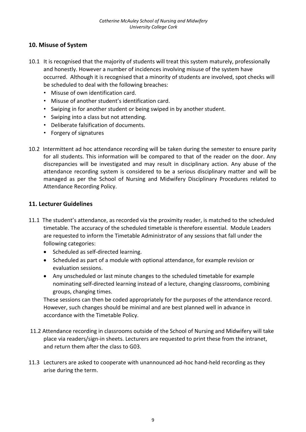# <span id="page-8-0"></span>**10. Misuse of System**

- 10.1 It is recognised that the majority of students will treat this system maturely, professionally and honestly. However a number of incidences involving misuse of the system have occurred. Although it is recognised that a minority of students are involved, spot checks will be scheduled to deal with the following breaches:
	- Misuse of own identification card.
	- Misuse of another student's identification card.
	- Swiping in for another student or being swiped in by another student.
	- Swiping into a class but not attending.
	- Deliberate falsification of documents.
	- Forgery of signatures
- 10.2 Intermittent ad hoc attendance recording will be taken during the semester to ensure parity for all students. This information will be compared to that of the reader on the door. Any discrepancies will be investigated and may result in disciplinary action. Any abuse of the attendance recording system is considered to be a serious disciplinary matter and will be managed as per the School of Nursing and Midwifery Disciplinary Procedures related to Attendance Recording Policy.

#### <span id="page-8-1"></span>**11. Lecturer Guidelines**

- 11.1 The student's attendance, as recorded via the proximity reader, is matched to the scheduled timetable. The accuracy of the scheduled timetable is therefore essential. Module Leaders are requested to inform the Timetable Administrator of any sessions that fall under the following categories:
	- Scheduled as self-directed learning.
	- Scheduled as part of a module with optional attendance, for example revision or evaluation sessions.
	- Any unscheduled or last minute changes to the scheduled timetable for example nominating self-directed learning instead of a lecture, changing classrooms, combining groups, changing times.

These sessions can then be coded appropriately for the purposes of the attendance record. However, such changes should be minimal and are best planned well in advance in accordance with the Timetable Policy.

- 11.2 Attendance recording in classrooms outside of the School of Nursing and Midwifery will take place via readers/sign-in sheets. Lecturers are requested to print these from the intranet, and return them after the class to G03.
- 11.3 Lecturers are asked to cooperate with unannounced ad-hoc hand-held recording as they arise during the term.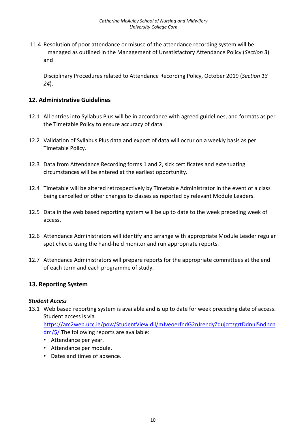11.4 Resolution of poor attendance or misuse of the attendance recording system will be managed as outlined in the Management of Unsatisfactory Attendance Policy (*Section 3*) and

Disciplinary Procedures related to Attendance Recording Policy, October 2019 (*Section 13 24*).

#### <span id="page-9-0"></span>**12. Administrative Guidelines**

- 12.1 All entries into Syllabus Plus will be in accordance with agreed guidelines, and formats as per the Timetable Policy to ensure accuracy of data.
- 12.2 Validation of Syllabus Plus data and export of data will occur on a weekly basis as per Timetable Policy.
- 12.3 Data from Attendance Recording forms 1 and 2, sick certificates and extenuating circumstances will be entered at the earliest opportunity.
- 12.4 Timetable will be altered retrospectively by Timetable Administrator in the event of a class being cancelled or other changes to classes as reported by relevant Module Leaders.
- 12.5 Data in the web based reporting system will be up to date to the week preceding week of access.
- 12.6 Attendance Administrators will identify and arrange with appropriate Module Leader regular spot checks using the hand-held monitor and run appropriate reports.
- 12.7 Attendance Administrators will prepare reports for the appropriate committees at the end of each term and each programme of study.

#### <span id="page-9-1"></span>**13. Reporting System**

#### *Student Access*

13.1 Web based reporting system is available and is up to date for week preceding date of access. Student access is via

[https://arc2web.ucc.ie/pow/StudentView.dll/mJveoerfndG2nJrendyZqujcrtzgrtDdnui5ndncn](https://arc2web.ucc.ie/pow/StudentView.dll/mJveoerfndG2nJrendyZqujcrtzgrtDdnui5ndncndm/$/)  $\frac{dm}{5}$  The following reports are available:

- Attendance per year.
- Attendance per module.
- Dates and times of absence.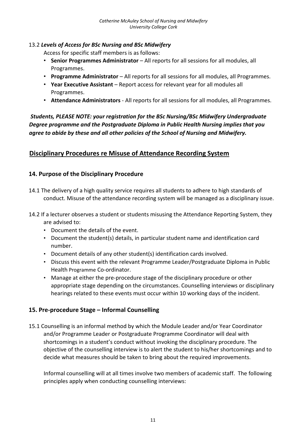#### 13.2 *Levels of Access for BSc Nursing and BSc Midwifery*

Access for specific staff members is as follows:

- **Senior Programmes Administrator** All reports for all sessions for all modules, all Programmes.
- **Programme Administrator** All reports for all sessions for all modules, all Programmes.
- **Year Executive Assistant** Report access for relevant year for all modules all Programmes.
- **Attendance Administrators**  All reports for all sessions for all modules, all Programmes.

*Students, PLEASE NOTE: your registration for the BSc Nursing/BSc Midwifery Undergraduate Degree programme and the Postgraduate Diploma in Public Health Nursing implies that you agree to abide by these and all other policies of the School of Nursing and Midwifery.* 

# <span id="page-10-0"></span>**Disciplinary Procedures re Misuse of Attendance Recording System**

# <span id="page-10-1"></span>**14. Purpose of the Disciplinary Procedure**

- 14.1 The delivery of a high quality service requires all students to adhere to high standards of conduct. Misuse of the attendance recording system will be managed as a disciplinary issue.
- 14.2 If a lecturer observes a student or students misusing the Attendance Reporting System, they are advised to:
	- Document the details of the event.
	- Document the student(s) details, in particular student name and identification card number.
	- Document details of any other student(s) identification cards involved.
	- Discuss this event with the relevant Programme Leader/Postgraduate Diploma in Public Health Programme Co-ordinator.
	- Manage at either the pre-procedure stage of the disciplinary procedure or other appropriate stage depending on the circumstances. Counselling interviews or disciplinary hearings related to these events must occur within 10 working days of the incident.

# <span id="page-10-2"></span>**15. Pre-procedure Stage – Informal Counselling**

15.1 Counselling is an informal method by which the Module Leader and/or Year Coordinator and/or Programme Leader or Postgraduate Programme Coordinator will deal with shortcomings in a student's conduct without invoking the disciplinary procedure. The objective of the counselling interview is to alert the student to his/her shortcomings and to decide what measures should be taken to bring about the required improvements.

Informal counselling will at all times involve two members of academic staff. The following principles apply when conducting counselling interviews: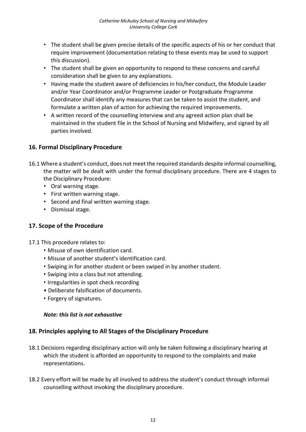- The student shall be given precise details of the specific aspects of his or her conduct that require improvement (documentation relating to these events may be used to support this discussion).
- The student shall be given an opportunity to respond to these concerns and careful consideration shall be given to any explanations.
- Having made the student aware of deficiencies in his/her conduct, the Module Leader and/or Year Coordinator and/or Programme Leader or Postgraduate Programme Coordinator shall identify any measures that can be taken to assist the student, and formulate a written plan of action for achieving the required improvements.
- A written record of the counselling interview and any agreed action plan shall be maintained in the student file in the School of Nursing and Midwifery, and signed by all parties involved.

# <span id="page-11-0"></span>**16. Formal Disciplinary Procedure**

- 16.1 Where a student's conduct, does not meet the required standards despite informal counselling, the matter will be dealt with under the formal disciplinary procedure. There are 4 stages to the Disciplinary Procedure:
	- Oral warning stage.
	- First written warning stage.
	- Second and final written warning stage.
	- Dismissal stage.

# <span id="page-11-1"></span>**17. Scope of the Procedure**

- 17.1 This procedure relates to:
	- Misuse of own identification card.
	- Misuse of another student's identification card.
	- Swiping in for another student or been swiped in by another student.
	- Swiping into a class but not attending.
	- Irregularities in spot check recording
	- Deliberate falsification of documents.
	- Forgery of signatures.

#### *Note: this list is not exhaustive*

#### <span id="page-11-2"></span>**18. Principles applying to All Stages of the Disciplinary Procedure**

- 18.1 Decisions regarding disciplinary action will only be taken following a disciplinary hearing at which the student is afforded an opportunity to respond to the complaints and make representations.
- 18.2 Every effort will be made by all involved to address the student's conduct through informal counselling without invoking the disciplinary procedure.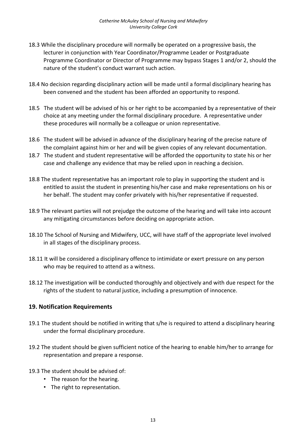- 18.3 While the disciplinary procedure will normally be operated on a progressive basis, the lecturer in conjunction with Year Coordinator/Programme Leader or Postgraduate Programme Coordinator or Director of Programme may bypass Stages 1 and/or 2, should the nature of the student's conduct warrant such action.
- 18.4 No decision regarding disciplinary action will be made until a formal disciplinary hearing has been convened and the student has been afforded an opportunity to respond.
- 18.5 The student will be advised of his or her right to be accompanied by a representative of their choice at any meeting under the formal disciplinary procedure. A representative under these procedures will normally be a colleague or union representative.
- 18.6 The student will be advised in advance of the disciplinary hearing of the precise nature of the complaint against him or her and will be given copies of any relevant documentation.
- 18.7 The student and student representative will be afforded the opportunity to state his or her case and challenge any evidence that may be relied upon in reaching a decision.
- 18.8 The student representative has an important role to play in supporting the student and is entitled to assist the student in presenting his/her case and make representations on his or her behalf. The student may confer privately with his/her representative if requested.
- 18.9 The relevant parties will not prejudge the outcome of the hearing and will take into account any mitigating circumstances before deciding on appropriate action.
- 18.10 The School of Nursing and Midwifery, UCC, will have staff of the appropriate level involved in all stages of the disciplinary process.
- 18.11 It will be considered a disciplinary offence to intimidate or exert pressure on any person who may be required to attend as a witness.
- 18.12 The investigation will be conducted thoroughly and objectively and with due respect for the rights of the student to natural justice, including a presumption of innocence.

# <span id="page-12-0"></span>**19. Notification Requirements**

- 19.1 The student should be notified in writing that s/he is required to attend a disciplinary hearing under the formal disciplinary procedure.
- 19.2 The student should be given sufficient notice of the hearing to enable him/her to arrange for representation and prepare a response.
- 19.3 The student should be advised of:
	- The reason for the hearing.
	- The right to representation.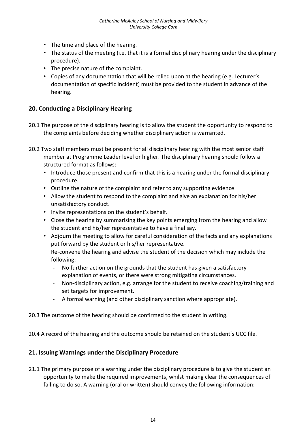- The time and place of the hearing.
- The status of the meeting (i.e. that it is a formal disciplinary hearing under the disciplinary procedure).
- The precise nature of the complaint.
- Copies of any documentation that will be relied upon at the hearing (e.g. Lecturer's documentation of specific incident) must be provided to the student in advance of the hearing.

#### <span id="page-13-0"></span>**20. Conducting a Disciplinary Hearing**

- 20.1 The purpose of the disciplinary hearing is to allow the student the opportunity to respond to the complaints before deciding whether disciplinary action is warranted.
- 20.2 Two staff members must be present for all disciplinary hearing with the most senior staff member at Programme Leader level or higher. The disciplinary hearing should follow a structured format as follows:
	- Introduce those present and confirm that this is a hearing under the formal disciplinary procedure.
	- Outline the nature of the complaint and refer to any supporting evidence.
	- Allow the student to respond to the complaint and give an explanation for his/her unsatisfactory conduct.
	- Invite representations on the student's behalf.
	- Close the hearing by summarising the key points emerging from the hearing and allow the student and his/her representative to have a final say.
	- Adjourn the meeting to allow for careful consideration of the facts and any explanations put forward by the student or his/her representative. Re-convene the hearing and advise the student of the decision which may include the following:
		- No further action on the grounds that the student has given a satisfactory explanation of events, or there were strong mitigating circumstances.
		- Non-disciplinary action, e.g. arrange for the student to receive coaching/training and set targets for improvement.
		- A formal warning (and other disciplinary sanction where appropriate).
- 20.3 The outcome of the hearing should be confirmed to the student in writing.
- 20.4 A record of the hearing and the outcome should be retained on the student's UCC file.

# <span id="page-13-1"></span>**21. Issuing Warnings under the Disciplinary Procedure**

21.1 The primary purpose of a warning under the disciplinary procedure is to give the student an opportunity to make the required improvements, whilst making clear the consequences of failing to do so. A warning (oral or written) should convey the following information: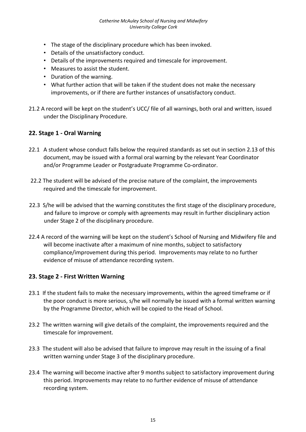- The stage of the disciplinary procedure which has been invoked.
- Details of the unsatisfactory conduct.
- Details of the improvements required and timescale for improvement.
- Measures to assist the student.
- Duration of the warning.
- What further action that will be taken if the student does not make the necessary improvements, or if there are further instances of unsatisfactory conduct.
- 21.2 A record will be kept on the student's UCC/ file of all warnings, both oral and written, issued under the Disciplinary Procedure.

#### <span id="page-14-0"></span>**22. Stage 1 - Oral Warning**

- 22.1 A student whose conduct falls below the required standards as set out in section 2.13 of this document, may be issued with a formal oral warning by the relevant Year Coordinator and/or Programme Leader or Postgraduate Programme Co-ordinator.
- 22.2 The student will be advised of the precise nature of the complaint, the improvements required and the timescale for improvement.
- 22.3 S/he will be advised that the warning constitutes the first stage of the disciplinary procedure, and failure to improve or comply with agreements may result in further disciplinary action under Stage 2 of the disciplinary procedure.
- 22.4 A record of the warning will be kept on the student's School of Nursing and Midwifery file and will become inactivate after a maximum of nine months, subject to satisfactory compliance/improvement during this period. Improvements may relate to no further evidence of misuse of attendance recording system.

# <span id="page-14-1"></span>**23. Stage 2 - First Written Warning**

- 23.1 If the student fails to make the necessary improvements, within the agreed timeframe or if the poor conduct is more serious, s/he will normally be issued with a formal written warning by the Programme Director, which will be copied to the Head of School.
- 23.2 The written warning will give details of the complaint, the improvements required and the timescale for improvement.
- 23.3 The student will also be advised that failure to improve may result in the issuing of a final written warning under Stage 3 of the disciplinary procedure.
- 23.4 The warning will become inactive after 9 months subject to satisfactory improvement during this period. Improvements may relate to no further evidence of misuse of attendance recording system.